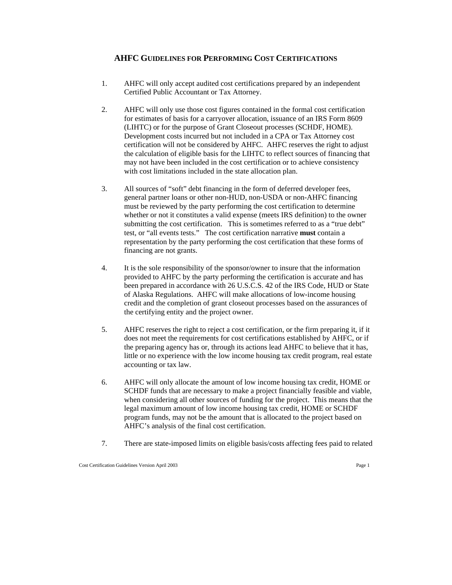# **AHFC GUIDELINES FOR PERFORMING COST CERTIFICATIONS**

- 1. AHFC will only accept audited cost certifications prepared by an independent Certified Public Accountant or Tax Attorney.
- 2. AHFC will only use those cost figures contained in the formal cost certification for estimates of basis for a carryover allocation, issuance of an IRS Form 8609 (LIHTC) or for the purpose of Grant Closeout processes (SCHDF, HOME). Development costs incurred but not included in a CPA or Tax Attorney cost certification will not be considered by AHFC. AHFC reserves the right to adjust the calculation of eligible basis for the LIHTC to reflect sources of financing that may not have been included in the cost certification or to achieve consistency with cost limitations included in the state allocation plan.
- 3. All sources of "soft" debt financing in the form of deferred developer fees, general partner loans or other non-HUD, non-USDA or non-AHFC financing must be reviewed by the party performing the cost certification to determine whether or not it constitutes a valid expense (meets IRS definition) to the owner submitting the cost certification. This is sometimes referred to as a "true debt" test, or "all events tests." The cost certification narrative **must** contain a representation by the party performing the cost certification that these forms of financing are not grants.
- 4. It is the sole responsibility of the sponsor/owner to insure that the information provided to AHFC by the party performing the certification is accurate and has been prepared in accordance with 26 U.S.C.S. 42 of the IRS Code, HUD or State of Alaska Regulations. AHFC will make allocations of low-income housing credit and the completion of grant closeout processes based on the assurances of the certifying entity and the project owner.
- 5. AHFC reserves the right to reject a cost certification, or the firm preparing it, if it does not meet the requirements for cost certifications established by AHFC, or if the preparing agency has or, through its actions lead AHFC to believe that it has, little or no experience with the low income housing tax credit program, real estate accounting or tax law.
- 6. AHFC will only allocate the amount of low income housing tax credit, HOME or SCHDF funds that are necessary to make a project financially feasible and viable, when considering all other sources of funding for the project. This means that the legal maximum amount of low income housing tax credit, HOME or SCHDF program funds, may not be the amount that is allocated to the project based on AHFC's analysis of the final cost certification.
- 7. There are state-imposed limits on eligible basis/costs affecting fees paid to related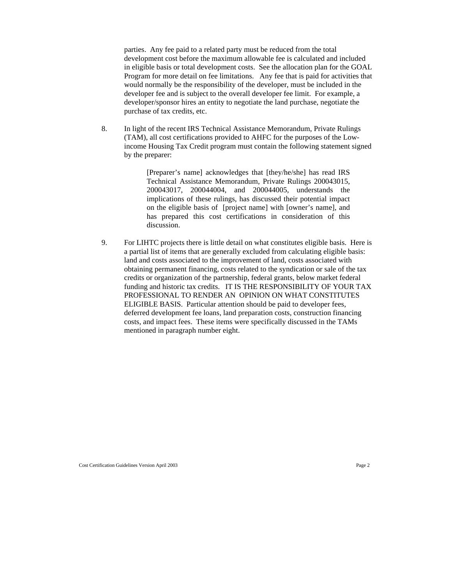parties. Any fee paid to a related party must be reduced from the total development cost before the maximum allowable fee is calculated and included in eligible basis or total development costs. See the allocation plan for the GOAL Program for more detail on fee limitations. Any fee that is paid for activities that would normally be the responsibility of the developer, must be included in the developer fee and is subject to the overall developer fee limit. For example, a developer/sponsor hires an entity to negotiate the land purchase, negotiate the purchase of tax credits, etc.

8. In light of the recent IRS Technical Assistance Memorandum, Private Rulings (TAM), all cost certifications provided to AHFC for the purposes of the Lowincome Housing Tax Credit program must contain the following statement signed by the preparer:

> [Preparer's name] acknowledges that [they/he/she] has read IRS Technical Assistance Memorandum, Private Rulings 200043015, 200043017, 200044004, and 200044005, understands the implications of these rulings, has discussed their potential impact on the eligible basis of [project name] with [owner's name], and has prepared this cost certifications in consideration of this discussion.

9. For LIHTC projects there is little detail on what constitutes eligible basis. Here is a partial list of items that are generally excluded from calculating eligible basis: land and costs associated to the improvement of land, costs associated with obtaining permanent financing, costs related to the syndication or sale of the tax credits or organization of the partnership, federal grants, below market federal funding and historic tax credits. IT IS THE RESPONSIBILITY OF YOUR TAX PROFESSIONAL TO RENDER AN OPINION ON WHAT CONSTITUTES ELIGIBLE BASIS. Particular attention should be paid to developer fees, deferred development fee loans, land preparation costs, construction financing costs, and impact fees. These items were specifically discussed in the TAMs mentioned in paragraph number eight.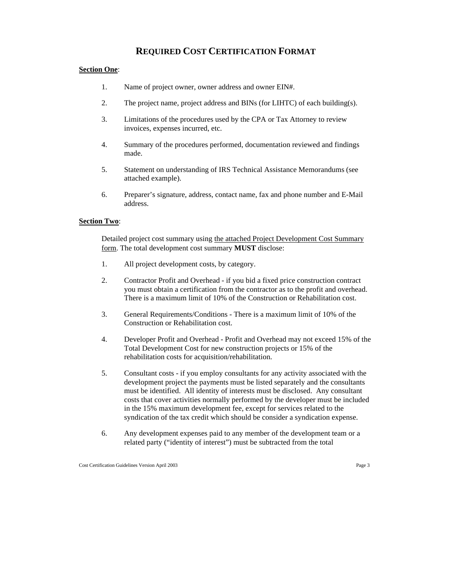# **REQUIRED COST CERTIFICATION FORMAT**

### **Section One**:

- 1. Name of project owner, owner address and owner EIN#.
- 2. The project name, project address and BINs (for LIHTC) of each building(s).
- 3. Limitations of the procedures used by the CPA or Tax Attorney to review invoices, expenses incurred, etc.
- 4. Summary of the procedures performed, documentation reviewed and findings made.
- 5. Statement on understanding of IRS Technical Assistance Memorandums (see attached example).
- 6. Preparer's signature, address, contact name, fax and phone number and E-Mail address.

## **Section Two**:

Detailed project cost summary using the attached Project Development Cost Summary form. The total development cost summary **MUST** disclose:

- 1. All project development costs, by category.
- 2. Contractor Profit and Overhead if you bid a fixed price construction contract you must obtain a certification from the contractor as to the profit and overhead. There is a maximum limit of 10% of the Construction or Rehabilitation cost.
- 3. General Requirements/Conditions There is a maximum limit of 10% of the Construction or Rehabilitation cost.
- 4. Developer Profit and Overhead Profit and Overhead may not exceed 15% of the Total Development Cost for new construction projects or 15% of the rehabilitation costs for acquisition/rehabilitation.
- 5. Consultant costs if you employ consultants for any activity associated with the development project the payments must be listed separately and the consultants must be identified. All identity of interests must be disclosed. Any consultant costs that cover activities normally performed by the developer must be included in the 15% maximum development fee, except for services related to the syndication of the tax credit which should be consider a syndication expense.
- 6. Any development expenses paid to any member of the development team or a related party ("identity of interest") must be subtracted from the total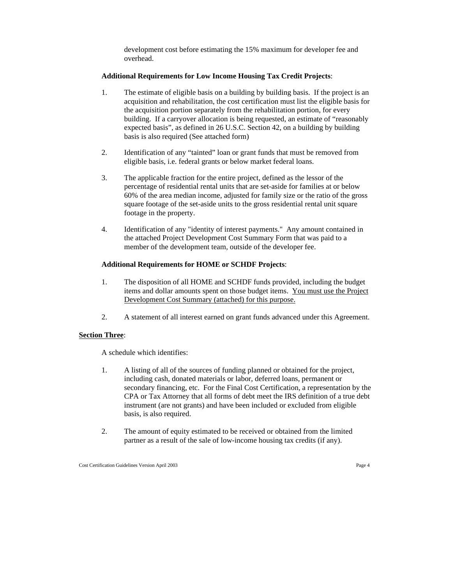development cost before estimating the 15% maximum for developer fee and overhead.

#### **Additional Requirements for Low Income Housing Tax Credit Projects**:

- 1. The estimate of eligible basis on a building by building basis. If the project is an acquisition and rehabilitation, the cost certification must list the eligible basis for the acquisition portion separately from the rehabilitation portion, for every building. If a carryover allocation is being requested, an estimate of "reasonably expected basis", as defined in 26 U.S.C. Section 42, on a building by building basis is also required (See attached form)
- 2. Identification of any "tainted" loan or grant funds that must be removed from eligible basis, i.e. federal grants or below market federal loans.
- 3. The applicable fraction for the entire project, defined as the lessor of the percentage of residential rental units that are set-aside for families at or below 60% of the area median income, adjusted for family size or the ratio of the gross square footage of the set-aside units to the gross residential rental unit square footage in the property.
- 4. Identification of any "identity of interest payments." Any amount contained in the attached Project Development Cost Summary Form that was paid to a member of the development team, outside of the developer fee.

### **Additional Requirements for HOME or SCHDF Projects**:

- 1. The disposition of all HOME and SCHDF funds provided, including the budget items and dollar amounts spent on those budget items. You must use the Project Development Cost Summary (attached) for this purpose.
- 2. A statement of all interest earned on grant funds advanced under this Agreement.

#### **Section Three**:

A schedule which identifies:

- 1. A listing of all of the sources of funding planned or obtained for the project, including cash, donated materials or labor, deferred loans, permanent or secondary financing, etc. For the Final Cost Certification, a representation by the CPA or Tax Attorney that all forms of debt meet the IRS definition of a true debt instrument (are not grants) and have been included or excluded from eligible basis, is also required.
- 2. The amount of equity estimated to be received or obtained from the limited partner as a result of the sale of low-income housing tax credits (if any).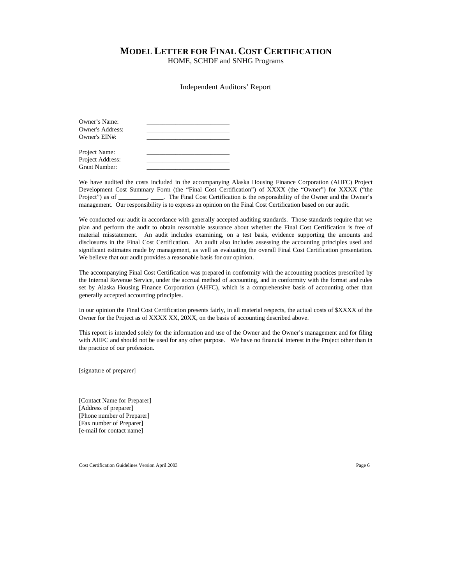# **MODEL LETTER FOR FINAL COST CERTIFICATION**

HOME, SCHDF and SNHG Programs

#### Independent Auditors' Report

| Owner's Name:           |  |
|-------------------------|--|
| <b>Owner's Address:</b> |  |
| Owner's EIN#:           |  |
|                         |  |
| Project Name:           |  |
| Project Address:        |  |
| Grant Number:           |  |

We have audited the costs included in the accompanying Alaska Housing Finance Corporation (AHFC) Project Development Cost Summary Form (the "Final Cost Certification") of XXXX (the "Owner") for XXXX ("the Project") as of \_\_\_\_\_\_\_, \_\_\_\_. The Final Cost Certification is the responsibility of the Owner and the Owner's management. Our responsibility is to express an opinion on the Final Cost Certification based on our audit.

We conducted our audit in accordance with generally accepted auditing standards. Those standards require that we plan and perform the audit to obtain reasonable assurance about whether the Final Cost Certification is free of material misstatement. An audit includes examining, on a test basis, evidence supporting the amounts and disclosures in the Final Cost Certification. An audit also includes assessing the accounting principles used and significant estimates made by management, as well as evaluating the overall Final Cost Certification presentation. We believe that our audit provides a reasonable basis for our opinion.

The accompanying Final Cost Certification was prepared in conformity with the accounting practices prescribed by the Internal Revenue Service, under the accrual method of accounting, and in conformity with the format and rules set by Alaska Housing Finance Corporation (AHFC), which is a comprehensive basis of accounting other than generally accepted accounting principles.

In our opinion the Final Cost Certification presents fairly, in all material respects, the actual costs of \$XXXX of the Owner for the Project as of XXXX XX, 20XX, on the basis of accounting described above.

This report is intended solely for the information and use of the Owner and the Owner's management and for filing with AHFC and should not be used for any other purpose. We have no financial interest in the Project other than in the practice of our profession.

[signature of preparer]

[Contact Name for Preparer] [Address of preparer] [Phone number of Preparer] [Fax number of Preparer] [e-mail for contact name]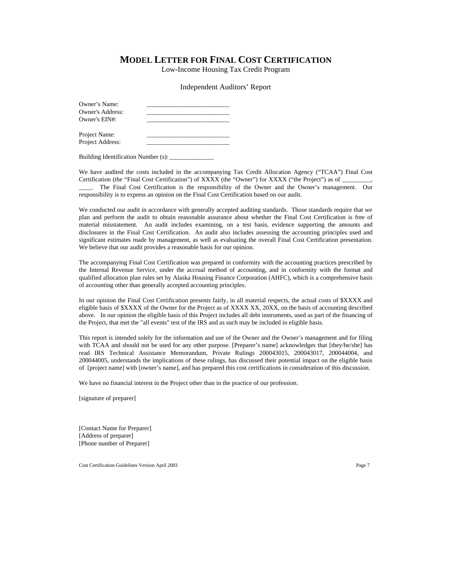# **MODEL LETTER FOR FINAL COST CERTIFICATION**

Low-Income Housing Tax Credit Program

Independent Auditors' Report

| Owner's Name:<br>Owner's Address:<br>Owner's EIN#: |  |
|----------------------------------------------------|--|
| Project Name:                                      |  |

Project Address:

Building Identification Number (s):

We have audited the costs included in the accompanying Tax Credit Allocation Agency ("TCAA") Final Cost Certification (the "Final Cost Certification") of XXXX (the "Owner") for XXXX ("the Project") as of \_

\_\_\_\_. The Final Cost Certification is the responsibility of the Owner and the Owner's management. Our responsibility is to express an opinion on the Final Cost Certification based on our audit.

We conducted our audit in accordance with generally accepted auditing standards. Those standards require that we plan and perform the audit to obtain reasonable assurance about whether the Final Cost Certification is free of material misstatement. An audit includes examining, on a test basis, evidence supporting the amounts and disclosures in the Final Cost Certification. An audit also includes assessing the accounting principles used and significant estimates made by management, as well as evaluating the overall Final Cost Certification presentation. We believe that our audit provides a reasonable basis for our opinion.

The accompanying Final Cost Certification was prepared in conformity with the accounting practices prescribed by the Internal Revenue Service, under the accrual method of accounting, and in conformity with the format and qualified allocation plan rules set by Alaska Housing Finance Corporation (AHFC), which is a comprehensive basis of accounting other than generally accepted accounting principles.

In our opinion the Final Cost Certification presents fairly, in all material respects, the actual costs of \$XXXX and eligible basis of \$XXXX of the Owner for the Project as of XXXX XX, 20XX, on the basis of accounting described above. In our opinion the eligible basis of this Project includes all debt instruments, used as part of the financing of the Project, that met the "all events" test of the IRS and as such may be included in eligible basis.

This report is intended solely for the information and use of the Owner and the Owner's management and for filing with TCAA and should not be used for any other purpose. [Preparer's name] acknowledges that [they/he/she] has read IRS Technical Assistance Memorandum, Private Rulings 200043015, 200043017, 200044004, and 200044005, understands the implications of these rulings, has discussed their potential impact on the eligible basis of [project name] with [owner's name], and has prepared this cost certifications in consideration of this discussion.

We have no financial interest in the Project other than in the practice of our profession.

[signature of preparer]

[Contact Name for Preparer] [Address of preparer] [Phone number of Preparer]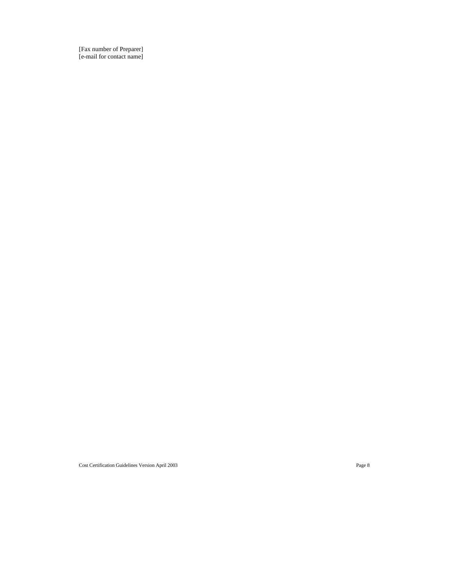[Fax number of Preparer] [e-mail for contact name]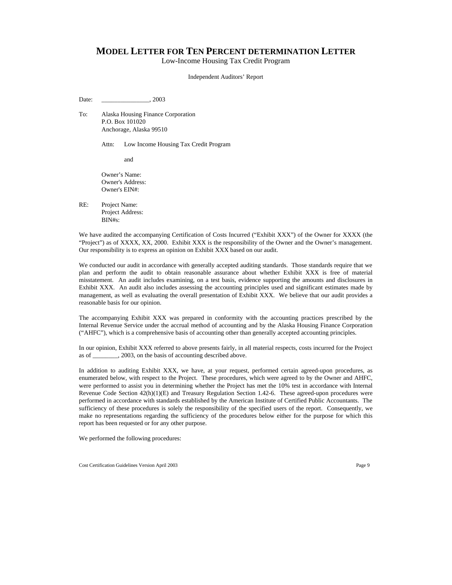# **MODEL LETTER FOR TEN PERCENT DETERMINATION LETTER**

Low-Income Housing Tax Credit Program

Independent Auditors' Report

Date: 2003

To: Alaska Housing Finance Corporation P.O. Box 101020 Anchorage, Alaska 99510

Attn: Low Income Housing Tax Credit Program

and

Owner's Name: Owner's Address: Owner's EIN#:

RE: Project Name: Project Address: BIN#s:

We have audited the accompanying Certification of Costs Incurred ("Exhibit XXX") of the Owner for XXXX (the "Project") as of XXXX, XX, 2000. Exhibit XXX is the responsibility of the Owner and the Owner's management. Our responsibility is to express an opinion on Exhibit XXX based on our audit.

We conducted our audit in accordance with generally accepted auditing standards. Those standards require that we plan and perform the audit to obtain reasonable assurance about whether Exhibit XXX is free of material misstatement. An audit includes examining, on a test basis, evidence supporting the amounts and disclosures in Exhibit XXX. An audit also includes assessing the accounting principles used and significant estimates made by management, as well as evaluating the overall presentation of Exhibit XXX. We believe that our audit provides a reasonable basis for our opinion.

The accompanying Exhibit XXX was prepared in conformity with the accounting practices prescribed by the Internal Revenue Service under the accrual method of accounting and by the Alaska Housing Finance Corporation ("AHFC"), which is a comprehensive basis of accounting other than generally accepted accounting principles.

In our opinion, Exhibit XXX referred to above presents fairly, in all material respects, costs incurred for the Project as of . 2003, on the basis of accounting described above.

In addition to auditing Exhibit XXX, we have, at your request, performed certain agreed-upon procedures, as enumerated below, with respect to the Project. These procedures, which were agreed to by the Owner and AHFC, were performed to assist you in determining whether the Project has met the 10% test in accordance with Internal Revenue Code Section 42(h)(1)(E) and Treasury Regulation Section 1.42-6. These agreed-upon procedures were performed in accordance with standards established by the American Institute of Certified Public Accountants. The sufficiency of these procedures is solely the responsibility of the specified users of the report. Consequently, we make no representations regarding the sufficiency of the procedures below either for the purpose for which this report has been requested or for any other purpose.

We performed the following procedures: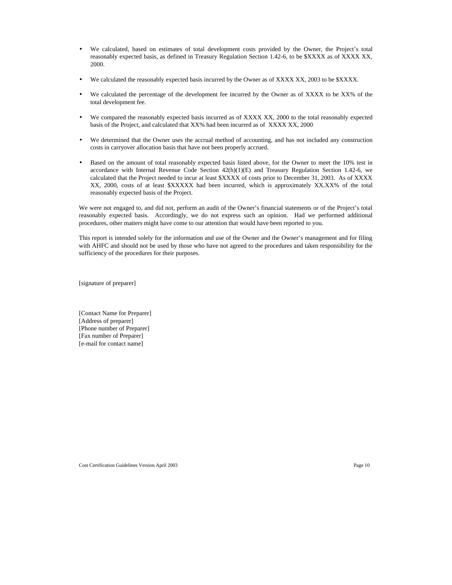- We calculated, based on estimates of total development costs provided by the Owner, the Project's total reasonably expected basis, as defined in Treasury Regulation Section 1.42-6, to be \$XXXX as of XXXX XX, 2000.
- We calculated the reasonably expected basis incurred by the Owner as of XXXX XX, 2003 to be \$XXXX.
- We calculated the percentage of the development fee incurred by the Owner as of XXXX to be XX% of the total development fee.
- We compared the reasonably expected basis incurred as of XXXX XX, 2000 to the total reasonably expected basis of the Project, and calculated that XX% had been incurred as of XXXX XX, 2000
- We determined that the Owner uses the accrual method of accounting, and has not included any construction costs in carryover allocation basis that have not been properly accrued.
- Based on the amount of total reasonably expected basis listed above, for the Owner to meet the 10% test in accordance with Internal Revenue Code Section  $42(h)(1)(E)$  and Treasury Regulation Section 1.42-6, we calculated that the Project needed to incur at least \$XXXX of costs prior to December 31, 2003. As of XXXX XX, 2000, costs of at least \$XXXXX had been incurred, which is approximately XX.XX% of the total reasonably expected basis of the Project.

We were not engaged to, and did not, perform an audit of the Owner's financial statements or of the Project's total reasonably expected basis. Accordingly, we do not express such an opinion. Had we performed additional procedures, other matters might have come to our attention that would have been reported to you.

This report is intended solely for the information and use of the Owner and the Owner's management and for filing with AHFC and should not be used by those who have not agreed to the procedures and taken responsibility for the sufficiency of the procedures for their purposes.

[signature of preparer]

[Contact Name for Preparer] [Address of preparer] [Phone number of Preparer] [Fax number of Preparer] [e-mail for contact name]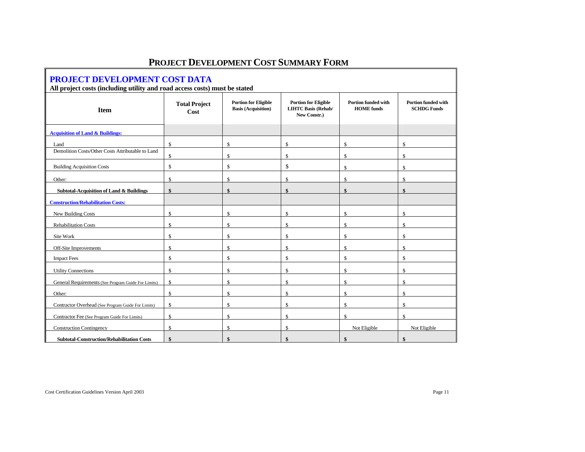| PROJECT DEVELOPMENT COST DATA                                              |                                                              |                                                           |                                                                           |                                                 |                                                  |  |  |  |
|----------------------------------------------------------------------------|--------------------------------------------------------------|-----------------------------------------------------------|---------------------------------------------------------------------------|-------------------------------------------------|--------------------------------------------------|--|--|--|
| All project costs (including utility and road access costs) must be stated |                                                              |                                                           |                                                                           |                                                 |                                                  |  |  |  |
| <b>Item</b>                                                                | <b>Total Project</b><br>Cost                                 | <b>Portion for Eligible</b><br><b>Basis (Acquisition)</b> | <b>Portion for Eligible</b><br><b>LIHTC Basis (Rehab/</b><br>New Constr.) | <b>Portion funded with</b><br><b>HOME</b> funds | <b>Portion funded with</b><br><b>SCHDG Funds</b> |  |  |  |
| <b>Acquisition of Land &amp; Buildings:</b>                                |                                                              |                                                           |                                                                           |                                                 |                                                  |  |  |  |
| Land                                                                       | $\mathbb{S}$                                                 | $\mathbb{S}$                                              | $\mathbb{S}$                                                              | $\mathbb{S}$                                    | \$                                               |  |  |  |
| Demolition Costs/Other Costs Attributable to Land                          | \$                                                           | \$                                                        | \$                                                                        | \$                                              | \$                                               |  |  |  |
| <b>Building Acquisition Costs</b>                                          | $\mathbb{S}$                                                 | $\mathbb{S}$                                              | \$                                                                        | $\mathbf{\$}$                                   | $\mathcal{S}$                                    |  |  |  |
| Other:                                                                     | $\mathbb{S}$                                                 | $\mathbb{S}$                                              | $\mathbb{S}$                                                              | $\mathbb{S}$                                    | $\mathbb{S}$                                     |  |  |  |
| <b>Subtotal-Acquisition of Land &amp; Buildings</b>                        | \$                                                           | \$                                                        | $\mathbf{\$}$                                                             | \$                                              | \$                                               |  |  |  |
| <b>Construction/Rehabilitation Costs:</b>                                  |                                                              |                                                           |                                                                           |                                                 |                                                  |  |  |  |
| New Building Costs                                                         | $\mathbf{\hat{S}}$                                           | $\mathcal{S}$                                             | $\mathbf{\$}$                                                             |                                                 | \$                                               |  |  |  |
| <b>Rehabilitation Costs</b>                                                | $\mathbb S$                                                  | $\mathbb{S}$                                              | $\mathbf S$                                                               | $\mathbb{S}$                                    | $\mathbb{S}$                                     |  |  |  |
| Site Work                                                                  | $\mathbb{S}$                                                 | $\mathbb{S}$                                              | $\mathbb{S}$                                                              | $\mathbb{S}$                                    | $\mathbb{S}$                                     |  |  |  |
| Off-Site Improvements                                                      | $\mathbb{S}$                                                 | $\mathbb{S}$                                              | $\mathbb{S}$                                                              | $\mathbb{S}$                                    | $\mathbb{S}$                                     |  |  |  |
| <b>Impact Fees</b>                                                         | $\mathbb{S}$<br>$\mathbb{S}$<br>$\mathbb{S}$<br>$\mathbb{S}$ |                                                           |                                                                           | $\mathbb{S}$                                    |                                                  |  |  |  |
| <b>Utility Connections</b>                                                 | $\mathbb S$                                                  | $\$$                                                      | $\mathbb{S}$                                                              | \$                                              | $\mathbb{S}$                                     |  |  |  |
| General Requirements (See Program Guide For Limits)                        | \$                                                           | $\mathbb{S}$                                              | $\mathbf S$                                                               | $\mathbb{S}$                                    | $\mathbb{S}$                                     |  |  |  |
| Other:                                                                     | $\mathbb{S}$                                                 | $\mathbb{S}$                                              | $\mathbb{S}$                                                              | $\mathbb{S}$                                    | $\mathcal{S}$                                    |  |  |  |
| Contractor Overhead (See Program Guide For Limits)                         | $\mathbb{S}$                                                 | $\mathbb{S}$                                              | $\mathbb{S}$                                                              | $\mathbb{S}$                                    | $\mathbb{S}$                                     |  |  |  |
| Contractor Fee (See Program Guide For Limits)                              | \$                                                           | $\mathbb{S}$                                              | $\mathbb{S}$                                                              | $\mathbb{S}$                                    | $\mathbb{S}$                                     |  |  |  |
| <b>Construction Contingency</b>                                            | $\mathbb{S}$                                                 | $\mathcal{S}$                                             | $\mathbb{S}$                                                              | Not Eligible                                    | Not Eligible                                     |  |  |  |
| <b>Subtotal-Construction/Rehabilitation Costs</b>                          | $\hat{\mathbf{x}}$                                           |                                                           | ¢                                                                         |                                                 |                                                  |  |  |  |

# **PROJECT DEVELOPMENT COST SUMMARY FORM**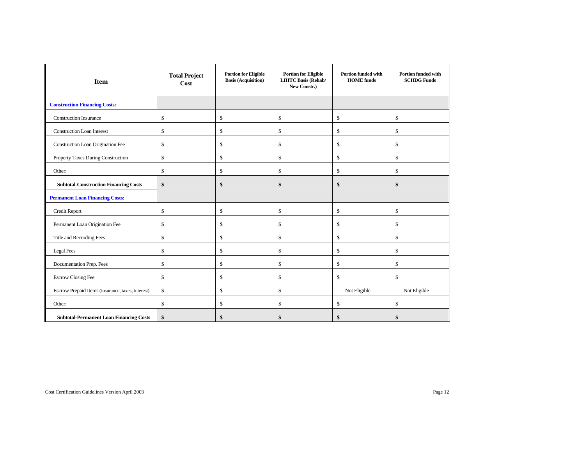| <b>Item</b>                                       | <b>Portion for Eligible</b><br><b>Total Project</b><br><b>Basis (Acquisition)</b><br>Cost |               | <b>Portion for Eligible</b><br><b>LIHTC Basis (Rehab/</b><br>New Constr.) | <b>Portion funded with</b><br><b>HOME</b> funds |              |  |
|---------------------------------------------------|-------------------------------------------------------------------------------------------|---------------|---------------------------------------------------------------------------|-------------------------------------------------|--------------|--|
| <b>Construction Financing Costs:</b>              |                                                                                           |               |                                                                           |                                                 |              |  |
| <b>Construction Insurance</b>                     | \$                                                                                        | $\mathsf{\$}$ | $\mathbb S$                                                               | \$                                              | \$           |  |
| <b>Construction Loan Interest</b>                 | $\mathbb{S}$                                                                              | $\mathsf{\$}$ | $\mathbb{S}$                                                              | $\mathbb{S}$                                    | \$           |  |
| Construction Loan Origination Fee                 | $\mathbb{S}$                                                                              | \$            | $\$$                                                                      | $\mathbb{S}$                                    | \$           |  |
| Property Taxes During Construction                | $\mathcal{S}$                                                                             | \$            | $\$$                                                                      | \$                                              | \$           |  |
| Other:                                            | $\mathbb{S}$                                                                              | \$            | \$                                                                        | \$                                              | \$           |  |
| <b>Subtotal-Construction Financing Costs</b>      | \$                                                                                        | $\mathbf{s}$  | \$                                                                        | \$                                              | \$           |  |
| <b>Permanent Loan Financing Costs:</b>            |                                                                                           |               |                                                                           |                                                 |              |  |
| Credit Report                                     | $\mathbb{S}$                                                                              | $\mathsf{\$}$ | $\mathbb S$                                                               | $\mathbb{S}$                                    | $\mathbb{S}$ |  |
| Permanent Loan Origination Fee                    | $\mathbb{S}$                                                                              | $\mathbb{S}$  | $\mathbb{S}$                                                              | $\mathbb{S}$                                    | \$           |  |
| Title and Recording Fees                          | \$                                                                                        | \$            | $\mathbb{S}$                                                              | \$                                              | \$           |  |
| <b>Legal Fees</b>                                 | $\mathcal{S}$                                                                             | $\mathsf{\$}$ | $\mathbb S$                                                               | $\mathbb{S}$                                    | \$           |  |
| Documentation Prep. Fees                          | $\mathbb{S}$                                                                              | $\mathsf{\$}$ | $\mathbb{S}$                                                              | $\mathbb{S}$                                    | \$           |  |
| <b>Escrow Closing Fee</b>                         | \$                                                                                        | \$            | $\mathbb{S}$                                                              | $\mathbb{S}$                                    | \$           |  |
| Escrow Prepaid Items (insurance, taxes, interest) | \$                                                                                        | $\mathbb{S}$  | $\$$                                                                      | Not Eligible                                    | Not Eligible |  |
| Other:                                            | \$                                                                                        | \$            | $\$$                                                                      | $\mathbb{S}$                                    | \$           |  |
| <b>Subtotal-Permanent Loan Financing Costs</b>    | \$                                                                                        | \$            | \$                                                                        | \$                                              | \$           |  |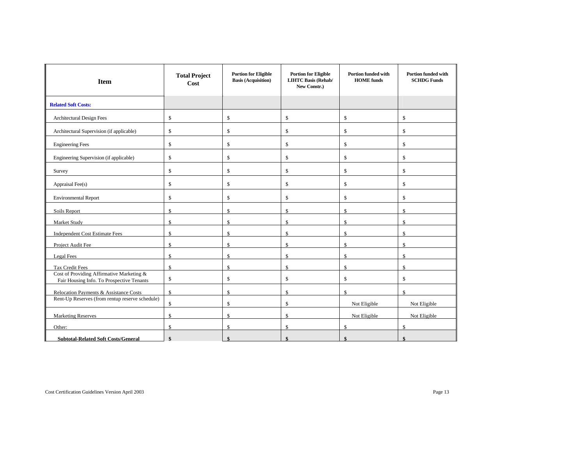| <b>Item</b>                                                                            | <b>Total Project</b><br><b>Cost</b> | <b>Portion for Eligible</b><br><b>Basis (Acquisition)</b> | <b>Portion for Eligible</b><br><b>LIHTC Basis (Rehab/</b><br>New Constr.) | <b>Portion funded with</b><br><b>HOME</b> funds | <b>Portion funded with</b><br><b>SCHDG Funds</b> |  |
|----------------------------------------------------------------------------------------|-------------------------------------|-----------------------------------------------------------|---------------------------------------------------------------------------|-------------------------------------------------|--------------------------------------------------|--|
| <b>Related Soft Costs:</b>                                                             |                                     |                                                           |                                                                           |                                                 |                                                  |  |
| Architectural Design Fees                                                              | $\mathbb{S}$                        | \$                                                        | \$                                                                        | \$                                              | \$                                               |  |
| Architectural Supervision (if applicable)                                              | \$                                  | \$                                                        | \$                                                                        | \$                                              | \$                                               |  |
| <b>Engineering Fees</b>                                                                | $\mathbb S$                         | $\mathbb{S}$                                              | \$                                                                        | $\mathbb{S}$                                    | $\mathbb{S}$                                     |  |
| Engineering Supervision (if applicable)                                                | $\mathbb S$                         | $\mathbb{S}$                                              | \$                                                                        | $\mathbb{S}$                                    | $\mathbb{S}$                                     |  |
| Survey                                                                                 | $\mathbb{S}$                        | $\mathbb{S}$                                              | \$                                                                        | \$                                              | $\mathbb{S}$                                     |  |
| Appraisal Fee(s)                                                                       | $\mathbb S$                         | \$                                                        | \$                                                                        | \$                                              | \$                                               |  |
| <b>Environmental Report</b>                                                            | \$                                  | \$                                                        | \$                                                                        | \$                                              | \$                                               |  |
| Soils Report                                                                           | \$.                                 | $\mathbb{S}$                                              | $\mathsf{\$}$                                                             | \$.                                             | $\mathcal{S}$                                    |  |
| Market Study                                                                           | $\mathbb{S}$                        | $\mathbb{S}$                                              | $\mathbf S$                                                               | $\mathbf{\$}$                                   | \$                                               |  |
| <b>Independent Cost Estimate Fees</b>                                                  | $\mathbf{\hat{S}}$                  | $\mathcal{S}$                                             | $\mathsf{\$}$                                                             | $\mathcal{S}$                                   | $\mathcal{S}$                                    |  |
| Project Audit Fee                                                                      | \$.                                 | $\mathcal{S}$                                             | $\mathbf{\hat{s}}$                                                        | $\mathbf{\hat{s}}$                              | $\mathcal{S}$                                    |  |
| Legal Fees                                                                             | \$                                  | $\mathbb{S}$                                              | \$                                                                        | \$                                              | \$                                               |  |
| <b>Tax Credit Fees</b>                                                                 | $\mathcal{S}$                       | $\mathbb{S}$                                              | $\mathbb{S}$                                                              | \$                                              | $\mathbb{S}$                                     |  |
| Cost of Providing Affirmative Marketing &<br>Fair Housing Info. To Prospective Tenants | $\mathbb{S}$                        | $\mathbb{S}$                                              | \$                                                                        | $\mathbb{S}$                                    | $\mathbb{S}$                                     |  |
| Relocation Payments & Assistance Costs                                                 | $\mathbb{S}$                        | $\mathbb{S}$                                              | $\mathbb{S}$                                                              | \$                                              | $\mathbb{S}$                                     |  |
| Rent-Up Reserves (from rentup reserve schedule)                                        | \$                                  | $\mathbb{S}$                                              | \$                                                                        | Not Eligible                                    | Not Eligible                                     |  |
| $\mathbf{\hat{S}}$<br><b>Marketing Reserves</b>                                        |                                     | $\mathcal{S}$                                             | $\mathsf{\$}$                                                             | Not Eligible                                    | Not Eligible                                     |  |
| Other:                                                                                 | \$.                                 | $\mathbb{S}$                                              | $\mathbb{S}$                                                              | \$                                              | $\mathbb{S}$                                     |  |
| <b>Subtotal-Related Soft Costs/General</b>                                             |                                     |                                                           | ¢                                                                         |                                                 |                                                  |  |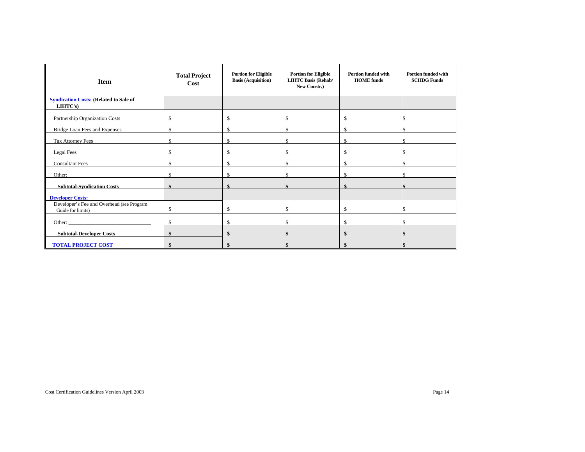| <b>Item</b>                                                    | <b>Portion for Eligible</b><br><b>Total Project</b><br><b>Basis (Acquisition)</b><br>Cost |    | <b>Portion for Eligible</b><br><b>LIHTC Basis (Rehab/</b><br>New Constr.) | <b>Portion funded with</b><br><b>HOME</b> funds | <b>Portion funded with</b><br><b>SCHDG Funds</b> |  |
|----------------------------------------------------------------|-------------------------------------------------------------------------------------------|----|---------------------------------------------------------------------------|-------------------------------------------------|--------------------------------------------------|--|
| <b>Syndication Costs: (Related to Sale of</b><br>LIHTC's)      |                                                                                           |    |                                                                           |                                                 |                                                  |  |
| Partnership Organization Costs                                 | \$.                                                                                       | \$ | \$                                                                        | $\mathbb{S}$                                    | \$                                               |  |
| Bridge Loan Fees and Expenses                                  | \$                                                                                        | \$ | \$                                                                        | $\mathbb{S}$                                    | $\mathcal{S}$                                    |  |
| Tax Attorney Fees                                              | $\mathcal{S}$                                                                             | \$ | $\mathbb{S}$                                                              | $\mathbb{S}$                                    | $\mathcal{S}$                                    |  |
| Legal Fees                                                     | S                                                                                         | \$ | $\mathbb{S}$                                                              | $\mathbb{S}$                                    | <sup>\$</sup>                                    |  |
| <b>Consultant Fees</b>                                         | S                                                                                         | \$ | \$                                                                        | \$                                              | \$                                               |  |
| Other:                                                         | S                                                                                         | \$ | $\mathbb{S}$                                                              | $\mathbb{S}$                                    | $\mathcal{S}$                                    |  |
| <b>Subtotal-Syndication Costs</b>                              |                                                                                           |    | ¢                                                                         |                                                 |                                                  |  |
| <b>Developer Costs:</b>                                        |                                                                                           |    |                                                                           |                                                 |                                                  |  |
| Developer's Fee and Overhead (see Program<br>Guide for limits) | \$                                                                                        | \$ | \$                                                                        | \$                                              | \$                                               |  |
| Other:                                                         | $\mathbb{S}$                                                                              | \$ | \$                                                                        | $\mathbb{S}$                                    | \$                                               |  |
| <b>Subtotal-Developer Costs</b>                                | \$                                                                                        | \$ | \$                                                                        | \$                                              |                                                  |  |
| <b>TOTAL PROJECT COST</b>                                      | \$                                                                                        | \$ | $\hat{\mathbf{s}}$                                                        | \$                                              | \$                                               |  |